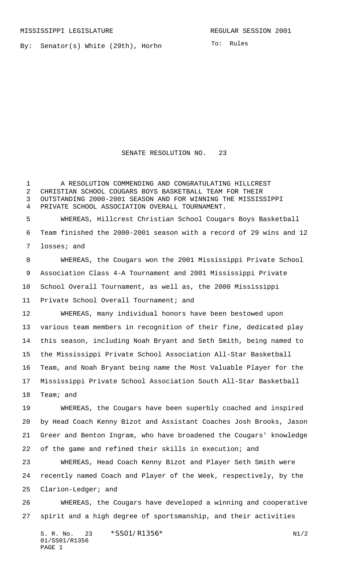MISSISSIPPI LEGISLATURE **REGULAR SESSION 2001** 

By: Senator(s) White (29th), Horhn

To: Rules

SENATE RESOLUTION NO. 23

 A RESOLUTION COMMENDING AND CONGRATULATING HILLCREST CHRISTIAN SCHOOL COUGARS BOYS BASKETBALL TEAM FOR THEIR OUTSTANDING 2000-2001 SEASON AND FOR WINNING THE MISSISSIPPI PRIVATE SCHOOL ASSOCIATION OVERALL TOURNAMENT. WHEREAS, Hillcrest Christian School Cougars Boys Basketball

 Team finished the 2000-2001 season with a record of 29 wins and 12 losses; and

 WHEREAS, the Cougars won the 2001 Mississippi Private School Association Class 4-A Tournament and 2001 Mississippi Private School Overall Tournament, as well as, the 2000 Mississippi Private School Overall Tournament; and

 WHEREAS, many individual honors have been bestowed upon various team members in recognition of their fine, dedicated play this season, including Noah Bryant and Seth Smith, being named to the Mississippi Private School Association All-Star Basketball Team, and Noah Bryant being name the Most Valuable Player for the Mississippi Private School Association South All-Star Basketball Team; and

 WHEREAS, the Cougars have been superbly coached and inspired by Head Coach Kenny Bizot and Assistant Coaches Josh Brooks, Jason Greer and Benton Ingram, who have broadened the Cougars' knowledge of the game and refined their skills in execution; and

 WHEREAS, Head Coach Kenny Bizot and Player Seth Smith were recently named Coach and Player of the Week, respectively, by the Clarion-Ledger; and

 WHEREAS, the Cougars have developed a winning and cooperative spirit and a high degree of sportsmanship, and their activities

S. R. No. 23  $*SS01/R1356*$  N1/2 01/SS01/R1356 PAGE 1